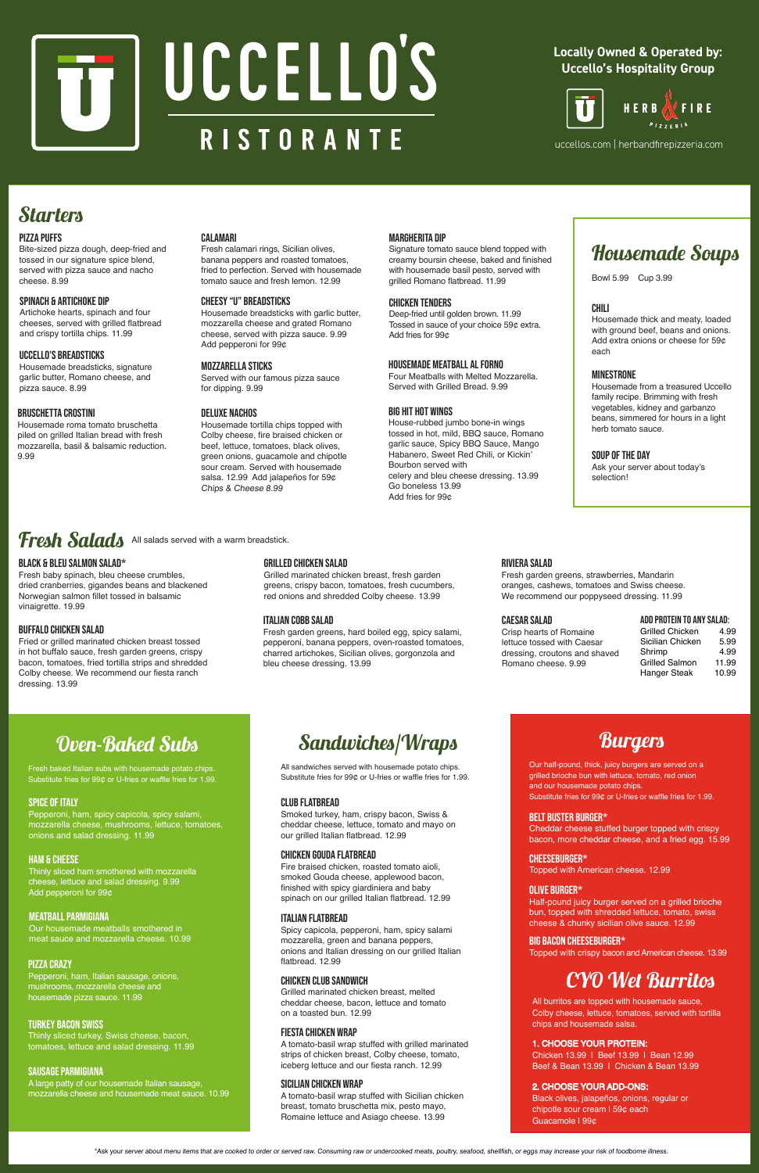# SOUP OF THE DAY

Ask your server about today's selection!

# Fresh Salads All salads served with a warm breadstick.

# CHILI

Housemade thick and meaty, loaded with ground beef, beans and onions. Add extra onions or cheese for 59¢ each

### MINESTRONE

Housemade from a treasured Uccello family recipe. Brimming with fresh vegetables, kidney and garbanzo beans, simmered for hours in a light herb tomato sauce.

# Housemade Soups

# BIG HIT HOT WINGS

House-rubbed jumbo bone-in wings tossed in hot, mild, BBQ sauce, Romano garlic sauce, Spicy BBQ Sauce, Mango Habanero, Sweet Red Chili, or Kickin' Bourbon served with celery and bleu cheese dressing. 13.99 Go boneless 13.99 Add fries for 99¢

#### CHICKEN TENDERS

Deep-fried until golden brown. 11.99 Tossed in sauce of your choice 59¢ extra. Add fries for 99¢

### MOZZARELLA STICKS

Served with our famous pizza sauce for dipping. 9.99

# DELUXE nachos

Housemade tortilla chips topped with Colby cheese, fire braised chicken or beef, lettuce, tomatoes, black olives, green onions, guacamole and chipotle sour cream. Served with housemade salsa. 12.99 Add jalapeños for 59¢ Chips & Cheese 8.99

### SPINACH & ARTICHOKE DIP

Artichoke hearts, spinach and four cheeses, served with grilled flatbread and crispy tortilla chips. 11.99

# UCCELLO'S BREADSTICKS

Housemade breadsticks, signature garlic butter, Romano cheese, and pizza sauce. 8.99

#### CALAMARI

Fresh calamari rings, Sicilian olives, banana peppers and roasted tomatoes, fried to perfection. Served with housemade tomato sauce and fresh lemon. 12.99

# MARGHERITA DIP

Signature tomato sauce blend topped with creamy boursin cheese, baked and finished with housemade basil pesto, served with grilled Romano flatbread. 11.99

# PIZZA PUFFS

Bite-sized pizza dough, deep-fried and tossed in our signature spice blend, served with pizza sauce and nacho cheese. 8.99

# BLACK & BLEU SALMON SALAD\*

Fresh baby spinach, bleu cheese crumbles, dried cranberries, gigandes beans and blackened Norwegian salmon fillet tossed in balsamic vinaigrette. 19.99

# GRILLED CHICKEN SALAD

Grilled marinated chicken breast, fresh garden greens, crispy bacon, tomatoes, fresh cucumbers, red onions and shredded Colby cheese. 13.99

# BUFFALO CHICKEN SALAD

Fried or grilled marinated chicken breast tossed in hot buffalo sauce, fresh garden greens, crispy bacon, tomatoes, fried tortilla strips and shredded Colby cheese. We recommend our fiesta ranch dressing. 13.99

#### RIVIERA SALAD

Fresh garden greens, strawberries, Mandarin oranges, cashews, tomatoes and Swiss cheese. We recommend our poppyseed dressing. 11.99

# ITALIAN COBB SALAD

Fresh garden greens, hard boiled egg, spicy salami, pepperoni, banana peppers, oven-roasted tomatoes, charred artichokes, Sicilian olives, gorgonzola and bleu cheese dressing. 13.99

### CAESAR SALAD

Crisp hearts of Romaine lettuce tossed with Caesar dressing, croutons and shaved Romano cheese. 9.99

#### ADD PROTEIN TO ANY SALAD:

| ADD I IIV I LIII TU ANT VALAD. |       |  |
|--------------------------------|-------|--|
| <b>Grilled Chicken</b>         | 4.99  |  |
| Sicilian Chicken               | 5.99  |  |
| Shrimp                         | 4.99  |  |
| <b>Grilled Salmon</b>          | 11.99 |  |
| Hanger Steak                   | 10.99 |  |
|                                |       |  |

Bowl 5.99 Cup 3.99

# Sandwiches/Wraps

# CLUB FLATBREAD

Smoked turkey, ham, crispy bacon, Swiss & cheddar cheese, lettuce, tomato and mayo on our grilled Italian flatbread. 12.99

#### FIESTA CHICKEN WRAP

A tomato-basil wrap stuffed with grilled marinated strips of chicken breast, Colby cheese, tomato, iceberg lettuce and our fiesta ranch. 12.99

Fresh baked Italian subs with housemade potato chips. Substitute fries for 99¢ or U-fries or waffle fries for 1.99.

#### PIZZA CRAZY

Pepperoni, ham, Italian sausage, onions, mushrooms, mozzarella cheese and housemade pizza sauce. 11.99

# SPICE OF ITALY

Pepperoni, ham, spicy capicola, spicy salami, mozzarella cheese, mushrooms, lettuce, tomatoes, onions and salad dressing. 11.99

#### MEATBALL PARMIGIANA

Our housemade meatballs smothered in meat sauce and mozzarella cheese. 10.99

### TURKEY BACON SWISS

Thinly sliced turkey, Swiss cheese, bacon, tomatoes, lettuce and salad dressing. 11.99

# Oven-Baked Subs

#### SAUSAGE PARMIGIANA

A large patty of our housemade Italian sausage, mozzarella cheese and housemade meat sauce. 10.99

# HAM & CHEESE

Thinly sliced ham smothered with mozzarella cheese, lettuce and salad dressing. 9.99 Add pepperoni for 99¢

#### SICILIAN CHICKEN WRAP

A tomato-basil wrap stuffed with Sicilian chicken breast, tomato bruschetta mix, pesto mayo, Romaine lettuce and Asiago cheese. 13.99

#### ITALIAN FLATBREAD

Spicy capicola, pepperoni, ham, spicy salami mozzarella, green and banana peppers, onions and Italian dressing on our grilled Italian flatbread. 12.99

All sandwiches served with housemade potato chips. Substitute fries for 99¢ or U-fries or waffle fries for 1.99.

#### CHEESEBURGER\*

Topped with American cheese. 12.99

# BELT Buster BURGER\*

Cheddar cheese stuffed burger topped with crispy bacon, more cheddar cheese, and a fried egg. 15.99

#### BIG BACON CHEESEBURGER\*

Topped with crispy bacon and American cheese. 13.99

# Our half-pound, thick, juicy burgers are served on a grilled brioche bun with lettuce, tomato, red onion

**Burgers** 

and our housemade potato chips. Substitute fries for 99¢ or U-fries or waffle fries for 1.99.

#### OLIVE BURGER\*

Half-pound juicy burger served on a grilled brioche bun, topped with shredded lettuce, tomato, swiss cheese & chunky sicilian olive sauce. 12.99

\*Ask your server about menu items that are cooked to order or served raw. Consuming raw or undercooked meats, poultry, seafood, shellfish, or eggs may increase your risk of foodborne illness.

#### CHICKEN CLUB sandwich

Grilled marinated chicken breast, melted cheddar cheese, bacon, lettuce and tomato on a toasted bun. 12.99

# CYO Wet Burritos

All burritos are topped with housemade sauce, Colby cheese, lettuce, tomatoes, served with tortilla chips and housemade salsa.

#### 1. CHOOSE YOUR PROTEIN:

Chicken 13.99 | Beef 13.99 | Bean 12.99 Beef & Bean 13.99 | Chicken & Bean 13.99

#### 2. CHOOSE YOUR ADD-ONS:

Black olives, jalapeños, onions, regular or chipotle sour cream | 59¢ each Guacamole | 99¢

# Chicken gouda flatbread

Fire braised chicken, roasted tomato aioli, smoked Gouda cheese, applewood bacon, finished with spicy giardiniera and baby spinach on our grilled Italian flatbread. 12.99



# **Locally Owned & Operated by: Uccello's Hospitality Group**



uccellos.com | herbandfirepizzeria.com

# **Starters**

### Cheesy "u" BREADSTICKS

Housemade breadsticks with garlic butter, mozzarella cheese and grated Romano cheese, served with pizza sauce. 9.99 Add pepperoni for 99¢

#### BRUSCHETTA CROSTINI

Housemade roma tomato bruschetta piled on grilled Italian bread with fresh mozzarella, basil & balsamic reduction. 9.99

# housemade Meatball al Forno

Four Meatballs with Melted Mozzarella. Served with Grilled Bread. 9.99